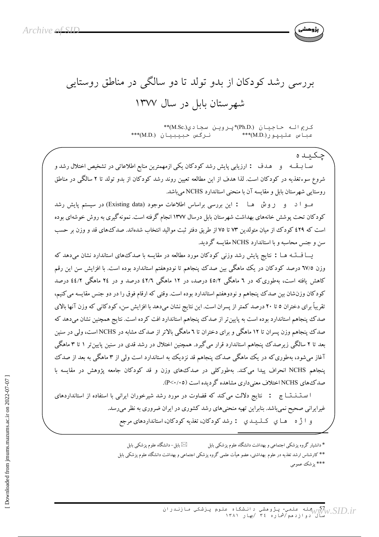

بررسی رشد کودکان از بدو تولد تا دو سالگی در مناطق روستایی شهرستان بابل در سال ۱۳۷۷

> کريم اله حاجيان (.Ph.D)\*پروين سجادي(.M.Sc)\*\* \*\*\* (M.D.) نرگس حبيبيان عباس عليپور(M.D.)\*\*\*

جكتناه سـا بــقــه و هــدف : ارزيابي پايش رشد كودكان يكي ازمهمترين منابع اطلاعاتي در تشخيص اختلال رشد و شروع سوءتغذیه در کودکان است. لذا هدف از این مطالعه تعیین روند رشد کودکان از بدو تولد تا ۲ سالگی در مناطق روستايي شهرستان بابل و مقايسه آن با منحني استاندارد NCHS مي باشد.

مو ا د و روش هـا : اين بررسي براساس اطلاعات موجود (Existing data) در سيستم پايش رشد کودکان تحت پوشش خانههای بهداشت شهرستان بابل درسال ۱۳۷۷ انجام گرفته است. نمونه گیری به روش خوشهای بوده است که ٤٢٩ کودک از میان متولدین ٧٣ تا ٧٥ از طریق دفتر ثبت موالید انتخاب شدهاند. صدک های قد و وزن بر حسب سن و جنس محاسبه و با استاندارد NCHS مقایسه گردید.

یـــا فـــتــه هــا : نتایج پایش رشد وزنبی کودکان مورد مطالعه در مقایسه با صدکءهای استاندارد نشان می دهد که وزن ٦٧/٥ درصد كودكان در يك ماهگي بين صدك پنجاهم تا نودوهفتم استاندارد بوده است. با افزايش سن اين رقم کاهش یافته است، بهطوریکه در ۲ ماهگی ٤٥/٢ درصد، در ۱۲ ماهگی ٤٢/٦ درصد و در ٢٤ ماهگی ٤٤/٢ درصد کودکان وزنشان بین صدک پنجاهم و نودوهفتم استاندارد بوده است. وقتی که ارقام فوق را در دو جنس مقایسه می کنیم، تقریباً برای دختران ٥ تا ٢٠ درصد کمتر از پسران است. این نتایج نشان میدهد با افزایش سن، کودکانی که وزن آنها بالای صدک پنجاهم استاندارد بوده است به پایین تر از صدک پنجاهم استاندارد افت کرده است. نتایج همچنین نشان میدهد که صدک پنجاهم وزن پسران تا ۱۲ ماهگی و برای دختران تا ۲ ماهگی بالاتر از صدک مشابه در NCHS است، ولی در سنین بعد تا ۲ سالگی زیرصدک پنجاهم استاندارد قرار میگیرد. همچنین اختلال در رشد قدی در سنین پایین تر ۱ تا ۳ ماهگی آغاز میشود، بهطوری که در یک ماهگی صدک پنجاهم قد نزدیک به استاندارد است ولی از ۳ ماهگی به بعد از صدک پنجاهم NCHS انحراف پیدا می کند. بهطورکلبی در صدک های وزن و قد کودکان جامعه پژوهش در مقایسه با صدک های NCHS اختلاف معنیداری مشاهده گردیده است (P<۰/۰۵).

ا ستـنــتــاج : نتايج دلالت مى كند كه قضاوت در مورد رشد شيرخوران ايرانى با استفاده از استانداردهاى غیرایرانی صحیح نمی باشد. بنابراین تهیه منحنیهای رشد کشوری در ایران ضروری به نظر می رسد. و ا ژ ه هساي كىلىيىدى : رشد كودكان، تغذيه كودكان، استانداردهاى مرجع

> ⊠ بابل− دانشگاه علوم پزشکی بابل \* دانشیار گروه پزشکی اجتماعی و بهداشت دانشگاه علوم پزشکی بابل \*\* کارشناس ارشد تغذیه در علوم بهداشتی، عضو هیأت علمی گروه پزشکی اجتماعی و بهداشت دانشگاه علوم پزشکی بابل \*\*\* يزشك عمومي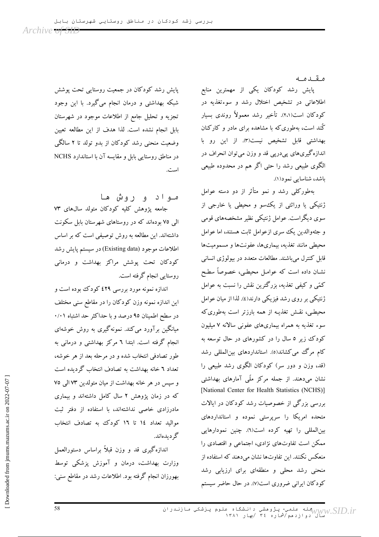مقدمه

پایش رشد کودکان یکی از مهمترین منابع اطلاعاتی در تشخیص اختلال رشد و سوءتغذیه در کودکان است(٢،١). تأخیر رشد معمولاً روندی بسیار گند است، بهطوری که با مشاهده برای مادر و کارکنان بهداشتی قابل تشخیص نیست(۳). از این رو با اندازهگیریهای پیدرپی قد و وزن میتوان انحراف در الگوی طبیعی رشد را حتی اگر هم در محدوده طبیعی باشد، شناسایی نمود(۱).

بهطورکلبی رشد و نمو متأثر از دو دسته عوامل ژنتیکی یا وراثتی از یک سو و محیطی یا خارجی از سوی دیگراست. عوامل ژنتیکی نظیر مشخصههای قومی و جثهوالدین یک سری ازعوامل ثابت هستند، اما عوامل محیطی مانند تغذیه، بیماریها، عفونتها و مسمومیتها قابل کنترل می باشند. مطالعات متعدد در بیولوژی انسانی نشـان داده است که عوامـل محیطـی، خصوصاً سطـح کمّی و کیفی تغذیه، بزرگترین نقش را نسبت به عوامل ژنتیکی بر روی رشد فیزیکی دارند(٤). لذا از میان عوامل محیطبی، نقش تغذیـه از همه بارزتر است بهطوری که سوء تغذیه به همراه بیماریهای عفونی سالانه ۷ میلیون کودک زیر ٥ سال را در کشورهای در حال توسعه به کام مرگ می کشاند(٥). استانداردهای بینالمللی رشد (قد، وزن و دور سر) کودکان الگوی رشد طبیعی را نشان میدهند. از جمله مرکز ملّمی آمارهای بهداشتی [National Center for Health Statistics (NCHS)] بررسی بزرگی از خصوصیات رشد کودکان در ایالات متحده امریکا را سرپرستی نموده و استانداردهای بین المللی را تهیه کرده است(٦). چنین نمودارهایی ممکن است تفاوتهای نژادی، اجتماعی و اقتصادی را منعکس نکنند. این تفاوتها نشان میدهند که استفاده از منحنی رشد محلی و منطقهای برای ارزیابی رشد کودکان ایرانی ضروری است(۷). در حال حاضر سیستم

پایش رشد کودکان در جمعیت روستایی تحت پوشش شبکه بهداشتی و درمان انجام میگیرد. با این وجود تجزیه و تحلیل جامع از اطلاعات موجود در شهرستان بابل انجام نشده است. لذا هدف از این مطالعه تعیین وضعیت منحنی رشد کودکان از بدو تولد تا ۲ سالگی در مناطق روستایی بابل و مقایسه آن با استاندارد NCHS است.

مـواد و روش هـا جامعه پژوهش کلیه کودکان متولد سالهای ۷۳ الی ۷۵ بودهاند که در روستاهای شهرستان بابل سکونت داشتهاند. این مطالعه به روش توصیفی است که بر اساس اطلاعات موجود (Existing data) در سیستم پایش رشد کودکان تحت یوشش مراکز بهداشت و درمانی روستایی انجام گرفته است.

اندازه نمونه مورد بررسی ٤٢٩ کودک بوده است و این اندازه نمونه وزن کودکان را در مقاطع سنی مختلف در سطح اطمینان ۹۵ درصد و با حداکثر حد اشتباه ۰/۰۱ میانگین برآورد می کند. نمونهگیری به روش خوشهای انجام گرفته است. ابتدا ٦ مرکز بهداشتی و درمانی به طور تصادفی انتخاب شده و در مرحله بعد از هر خوشه، تعداد ٦ خانه بهداشت به تصادف انتخاب گردیده است و سپس در هر خانه بهداشت از میان متولدین ۷۳ المی ۷۵ که در زمان پژوهش ۲ سال کامل داشتهاند و بیماری مادرزادی خاصی نداشتهاند، با استفاده از دفتر ثبت مواليد تعداد ١٤ تا ١٦ كودك به تصادف انتخاب گر دىدەاند.

اندازهگیری قد و وزن قبلاً براساس دستورالعمل وزارت بهداشت، درمان و آموزش پزشکی توسط بهورزان انجام گرفته بود. اطلاعات رشد در مقاطع سنبي: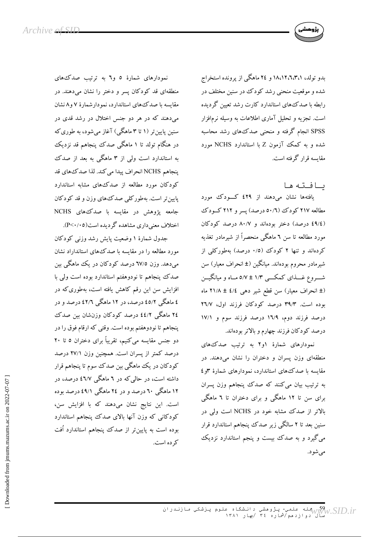

بدو تولد، ۱۸،۱۲،٦،۳،۱ و ۲٤ ماهگی از پرونده استخراج شده و موقعیت منحنی رشد کودک در سنین مختلف در رابطه با صدک های استاندارد کارت رشد تعیین گردیده است. تجزیه و تحلیل آماری اطلاعات به وسیله نرمافزار SPSS انجام گرفته و منحنی صدک های رشد محاسبه شده و به کمک آزمون Z با استاندارد NCHS مورد مقایسه قرار گرفته است.

بافته ها

یافتهها نشان میدهند از ٤٢٩ کسودک مورد مطالعه ٢١٧ كودك (٥٠/٦ درصد) يسر و ٢١٢ كـودك (٤٩/٤ درصد) دختر بودهاند و ٨٠/٧ درصد كودكان مورد مطالعه تا سن ٦ ماهگی منحصراً از شیرمادر تغذیه کردهاند و تنها ۲ کودک (۰/۵ درصد) بهطورکلی از شیرمادر محروم بودهاند. میانگین (± انحراف معیار) سن شـــروع غــــذاي كمكــــي ۱/۳ ± ۵/۷ مــاه و ميانگيـــن (± انحراف معیار) سن قطع شیر دهی ٤/٤ ± ٢١/٨ ماه بوده است. ۳۹/۳ درصد کودکان فرزند اول، ۲٦/۷ درصد فرزند دوم، ١٦/٩ درصد فرزند سوم و ١٧/١ درصد كودكان فرزند چهارم و بالاتر بودهاند.

نمودارهای شمارهٔ ۱و۲ به ترتیب صدک های منطقهای وزن پسران و دختران را نشان میدهند. در مقایسه با صدک های استاندارد، نمودارهای شمارهٔ ۳و٤ به ترتیب بیان میکنند که صدک پنجاهم وزن پسران برای سن تا ۱۲ ماهگی و برای دختران تا ٦ ماهگی بالاتر از صدک مشابه خود در NCHS است ولی در سنین بعد تا ۲ سالگی زیر صدک پنجاهم استاندارد قرار میگیرد و به صدک بیست و پنجم استاندارد نزدیک مي شو د.

نمودارهای شمارهٔ ٥ و آبه ترتیب صدک های منطقهای قد کودکان پسر و دختر را نشان می دهند. در مقایسه با صدک های استاندارد، نمو دارشمارهٔ ۷ و۸نشان میدهند که در هر دو جنس اختلال در رشد قدی در سنین پایین تر (۱ تا ۳ ماهگی) آغاز می شود، به طوری که در هنگام تولد تا ۱ ماهگی صدک پنجاهم قد نزدیک به استاندارد است ولی از ۳ ماهگی به بعد از صدک ينجاهم NCHS انحراف پيدا مي كند. لذا صدك هاي قد کودکان مورد مطالعه از صدک های مشابه استاندارد پایین تر است. بهطورکلبی صدک های وزن و قد کودکان جامعه پژوهش در مقایسه با صدک های NCHS اختلاف معنی داری مشاهده گردیده است(۲۰/۰۵).

جدول شمارهٔ ۱ وضعیت پایش رشد وزنبی کودکان مورد مطالعه را در مقایسه با صدک های استانداراد نشان می دهد. وزن ٦٧/٥ درصد کو دکان در یک ماهگی بین صدک پنجاهم تا نودوهفتم استاندارد بوده است ولی با افزایش سن این رقم کاهش یافته است، بهطوری که در ٤ ماهگی ٤٥/٢ درصد، در ١٢ ماهگی ٤٢/٦ درصد و در ٢٤ ماهگی ٤٤/٢ درصد کودکان وزنشان بین صدک ينجاهم تا نودوهفتم بوده است. وقتي كه ارقام فوق را در دو جنس مقایسه می کنیم، تقریباً برای دختران ٥ تا ٢٠ درصد کمتر از پسران است. همچنین وزن ۲۷/۱ درصد کودکان در یک ماهگی بین صدک سوم تا پنجاهم قرار داشته است، در حالی که در ٦ ماهگی ٤٦/٧ درصد، در ۱۲ ماهگی ۲۰ درصد و در ۲٤ ماهگی ۶۹/۱ درصد بوده است. این نتایج نشان میدهند که با افزایش سن، کودکانی که وزن آنها بالای صدک پنجاهم استاندارد بوده است به پایینتر از صدک پنجاهم استاندارد اُفت که ده است.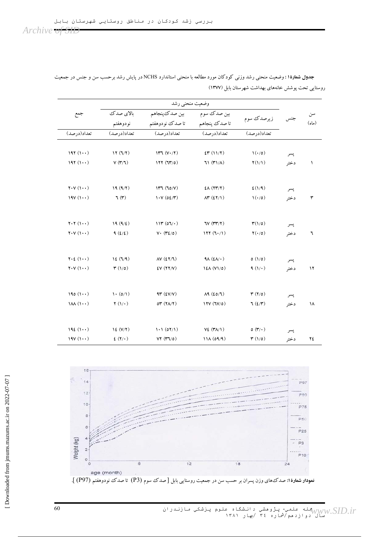|  | . | $\sim$ $\sim$ | ____ |
|--|---|---------------|------|
|  |   |               |      |
|  |   |               |      |

| جمع                                                           | بالاي صدك                                      | بين صدك ينجاهم                                 | بین صدک سوم                                   | زيرصدك سوم                          | جنس         | سن<br>(d) |
|---------------------------------------------------------------|------------------------------------------------|------------------------------------------------|-----------------------------------------------|-------------------------------------|-------------|-----------|
|                                                               | نودوهفتم                                       | تا صدك نودوهفتم<br>تعداد(درصد)                 | تا صدك پنجاهم                                 |                                     |             |           |
| تعداد(درصد)                                                   | تعداد(درصد)                                    |                                                | تعداد(درصد)                                   | تعداد(درصد)                         |             |           |
| $197(1+)$                                                     | 17(7/7)                                        | 1177 (V·7)                                     | ET(11/7)                                      | $\mathcal{N}(\cdot/\mathfrak{o})$   | پسر         |           |
| $197(1 \cdot \cdot)$                                          | V(T T)                                         | 177(77/0)                                      | $71$ $(\uparrow\uparrow)/\uparrow$ )          | $\Upsilon(1/1)$                     | دختر        | $\lambda$ |
|                                                               |                                                |                                                |                                               |                                     |             |           |
| $Y \cdot Y(1 \cdot \cdot)$                                    | 19(9/7)                                        | 147 (70/V)                                     | $E\Lambda$ (۲۳/۲)                             | E(Y Y)                              | پسر         |           |
| $19V(1\cdot\cdot)$                                            | $\mathcal{A}(\mathbf{r})$                      | $1.4$ (02/٣)                                   | $\Lambda^{\mu}$ (£ $\Upsilon/\Upsilon$ )      | $\mathcal{N}(\cdot/\mathfrak{o})$   | دختر        | ٣         |
| $Y \cdot Y(1 \cdots)$                                         | 19(9/2)                                        | 114(07)                                        | TV(TY Y)                                      | $\mathbf{r}(1/\mathfrak{o})$        | پسر         |           |
| $Y \cdot Y(1 \cdot \cdot)$                                    | 9(2/2)                                         | $V \cdot (Y \xi / o)$                          | 117 (7.7)                                     | $\Upsilon(\cdot/\sigma)$            | دختر        | ٦         |
|                                                               |                                                |                                                |                                               |                                     |             |           |
| $Y \cdot \xi$ $(1 \cdot \cdot)$<br>$Y \cdot V(1 \cdot \cdot)$ | 12(7/9)<br>$\mathbf{r}(\mathbf{1}/\mathbf{0})$ | $\Delta V$ (£ $\Upsilon/\Upsilon$ )<br>EV(Y Y) | $4\lambda$ (£ $\lambda/\cdot$ )<br>12A (V1/0) | o(1/0)<br>$9(1/\cdot)$              | پسر<br>دختر | ۱۲        |
|                                                               |                                                |                                                |                                               |                                     |             |           |
| $190(1+)$                                                     | $\cdot$ (0/1)                                  | $4r$ ( $2V/V$ )                                | $\Lambda$ 9 (20/7)                            | $\tau$ ( $\tau$ /0)                 | پسر         |           |
| (M(1))                                                        | $\mathbf{Y}(\mathbf{V})$                       | OT(YA/Y)                                       | 17V(TV/O)                                     | $7(\frac{\epsilon}{r})$             | دختر        | ۱۸        |
| 192(1)                                                        | 12 (V/Y)                                       | 1.1 (07/1)                                     | $V_{\epsilon}$ (۳۸/۱)                         | $o(\mathbf{r}/\cdot)$               | پسر         |           |
| $19V(1\cdot\cdot)$                                            | $E(Y/\cdot)$                                   | VT (r7/0)                                      | 11A (09/9)                                    | $\mathbf{r}(\mathbf{1}/\mathbf{0})$ | دختر        | ٢٤        |

جدول شمارهٔ۱: وضعیت منحنی رشد وزنی کودکان مورد مطالعه با منحنی استاندارد NCHS در پایش رشد برحسب سن و جنس در جمعیت روستایی تحت پوشش خانههای بهداشت شهرستان بابل (۱۳۷۷)



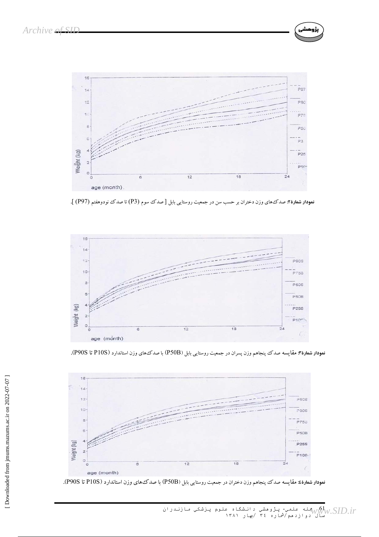

شى َ پژوه

نم**ودار شماره۲:** صدکههای وزن دختران بر حسب سن در جمعیت روستایی بابل [ صدک سوم (P3) تا صدک نودوهفتم (P97) ].



**نمودار شماره۳: مقایسه** صدک پنجاهم وزن پسران در جمعیت روستایی بابل (P50B) با صدک های وزن استاندارد (P10S تا P90S).



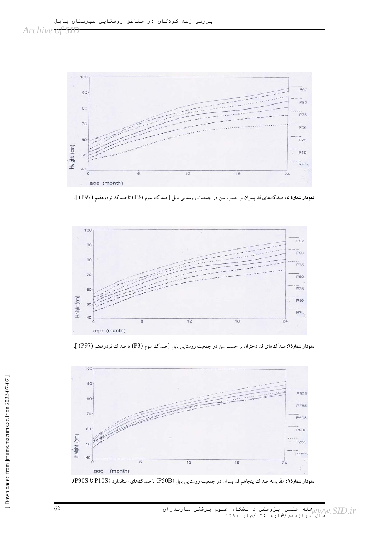



نمودار شمارهٔ۲: صدکٔهای قد دختران بر حسب سن در جمعیت روستایی بابل [صدک سوم (P3) تا صدک نودوهفتم (P97) ].



نمودار شمارهٔ ٥: صدکٔهای قد پسران بر حسب سن در جمعیت روستایی بابل [صدک سوم (P3) تا صدک نودوهفتم (P97) ].



100

62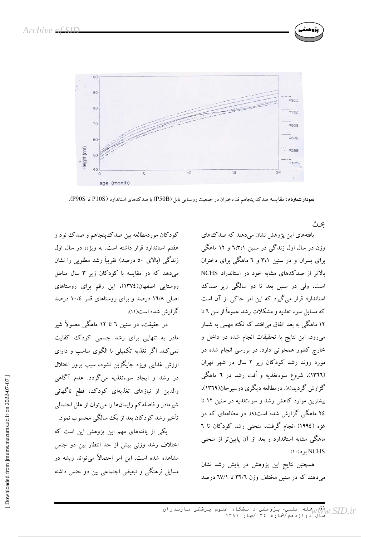

نمودار شمارهٔ۸: مقایسه صدک پنجاهم قد دختران در جمعیت روستایی بابل (P50B) با صدک های استاندارد (P90S تا P90S).

ىجە ئ

یافتههای این یژوهش نشان می دهند که صدک های وزن در سال اول زندگی در سنین ٦،٣،١ و ١٢ ماهگی برای پسران و در سنین ۳،۱ و ٦ ماهگی برای دختران بالاتر از صدک های مشابه خود در استاندراد NCHS است، ولي در سنين بعد تا دو سالگي زير صدک استاندارد قرار میگیرد که این امر حاکمی از آن است که مسایل سوء تغذیه و مشکلات رشد عموماً از سن ٦ تا ۱۲ ماهگی به بعد اتفاق می|فتند که نکته مهمی به شمار می رود. این نتایج با تحقیقات انجام شده در داخل و خارج کشور همخوانی دارد. در بررسی انجام شده در مورد روند رشد کودکان زیر ۲ سال در شهر تهران (١٣٦٦)، شروع سوءتغذیه و اُفت رشد در ٦ ماهگی گزارش گردید(۸). درمطالعه دیگری درسیرجان(۱۳۶۹)، بیشترین موارد کاهش رشد و سوءتغدیه در سنین ۱۲ تا ۲٤ ماهگی گزارش شده است(۹). در مطالعهای که در غزه (١٩٩٤) انجام گرفت، منحنی رشد کودکان تا ٦ ماهگی مشابه استاندارد و بعد از آن پایینتر از منحنی NCHS بو د(١٠).

همچنین نتایج این پژوهش در پایش رشد نشان می دهند که در سنین مختلف وزن ۳۲/۲ تا ۷/۱ درصد

کودکان موردمطالعه بین صدک ینجاهم و صدک نود و هفتم استاندارد قرار داشته است. به ویژه، در سال اول زندگی (بالای ٥٠ درصد) تقریباً رشد مطلوبی را نشان میدهد که در مقایسه با کودکان زیر ۳ سال مناطق روستایی اصفهان(١٣٧٤)، این رقم برای روستاهای اصلی ۱۳/۸ درصد و برای روستاهای قمر ۱۰/٤ درصد گزارش شده است(۱۱).

در حقیقت، در سنین ٦ تا ١٢ ماهگی معمولاً شیر مادر به تنهایی برای رشد جسمی کودک<sup>ی</sup> کفایت نمی کند. اگر تغذیه تکمیلی با الگوی مناسب و دارای ارزش غذایی ویژه جایگزین نشود، سبب بروز اختلال در رشد و ایجاد سوءتغذیه میگردد. عدم آگاهی والدین از نیازهای تغذیهای کودک، قطع ناگهانی شیرمادر و فاصله کم زایمانها را میتوان از علل احتمالی تأخیر رشد کودکان بعد از یک سالگی محسوب نمود.

یکی از یافتههای مهم این پژوهش این است که اختلاف رشد وزنی بیش از حد انتظار بین دو جنس مشاهده شده است. این امر احتمالاً می تواند ریشه در مسایل فرهنگی و تبعیض اجتماعی بین دو جنس داشته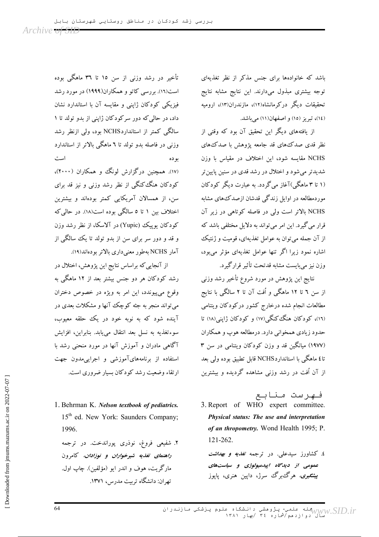باشد که خانوادهها برای جنس مذکر از نظر تغذیهای توجه بیشتری مبذول میدارند. این نتایج مشابه نتایج تحقیقات دیگر درکرمانشاه(۱۲)، مازندران(۱۳)، ارومیه (١٤)، تبريز (١٥) و اصفهان(١١) مي باشد.

از یافتههای دیگر این تحقیق آن بود که وقتی از نظر قدی صدک های قد جامعه یژوهش با صدک های NCHS مقایسه شود، این اختلاف در مقیاس با وزن شدیدتر می شود و اختلال در رشد قدی در سنین پایین تر (۱ تا ۳ ماهگی)آغاز میگردد. به عبارت دیگر کودکان موردمطالعه در اوایل زندگی قدشان ازصدک های مشابه NCHS بالاتر است ولی در فاصله کوتاهی در زیر آن قرار می گیرد. این امر می تواند به دلایل مختلفی باشد که از آن جمله می توان به عوامل تغذیهای، قومیت و ژنتیک اشاره نمود زیرا اگر تنها عوامل تغذیهای مؤثر میبود، وزن نيز مي بايست مشابه قدتحت تأثير قرارگيرد.

نتايج اين پژوهش در مورد شروع تأخير رشد وزنبي از سن ٦ تا ١٢ ماهگی و اُفت آن تا ٢ سالگی با نتایج مطالعات انجام شده درخارج كشور دركودكان ويتنامى (١٦)، کودکان هنگ کنگی(١٧) و کودکان ژاپنی(١٨) تا حدود زيادي همخواني دارد. درمطالعه هوپ و همكاران (١٩٧٧) میانگین قد و وزن کودکان ویتنامی در سن ٣ تا ٤ ماهگی با استانداردNCHS قابل تطبیق بوده ولی بعد از آن اُفت در رشد وزنی مشاهده گردیده و بیشترین

فهرست منابع

3. Report of WHO expert committee. Physical status: The use and interpretation of an thropometry. Wond Health 1995; P. 121-262.

٤. کشاورز سیدعلی. در ترجمه ت*غذیه و بهداشت* عمومی از دیدگاه ایپدمیولوژی و سیاستهای پ*یشگیری،* هرگ برگ سرژ، دایین هنری، پایوز

تأخیر در رشد وزنی از سن ۱۵ تا ۳٦ ماهگی بوده است(۱۲). بررسی کاتو و همکاران(۱۹۹۹) در مورد رشد فیزیکی کودکان ژاپنی و مقایسه آن با استاندارد نشان داد، در حالی که دور سرکودکان ژاپنی از بدو تولد تا ۱ سالگی کمتر از استانداردNCHS بود، ولی ازنظر رشد وزنی در فاصله بدو تولد تا ٦ ماهگی بالاتر از استاندارد است بو ده (۱۷). همچنین درگزارش لونگ و همکاران (۲۰۰۰)، کودکان هنگ کنگی از نظر رشد وزنی و نیز قد برای سن، از همسالان آمریکایی کمتر بودهاند و بیشترین اختلاف بین ۱ تا ۵ سالگی بوده است(۱۸). در حالی که کودکان یوییک (Yupic) در آلاسکا، از نظر رشد وزن و قد و دور سر برای سن از بدو تولد تا یک سالگی از آمار NCHS بهطور معنى دارى بالاتر بودهاند(١٩).

از آنجایی که براساس نتایج این پژوهش، اختلال در رشد کودکان هر دو جنس بیشتر بعد از ۱۲ ماهگی به وقوع می پیوندد، این امر به ویژه در خصوص دختران مې تواند منجر به جثه کوچک آنها و مشکلات بعدی در آینده شود که به نوبه خود در یک حلقه معیوب، سوءتغذيه به نسل بعد انتقال مي يابد. بنابراين، افزايش آگاهی مادران و آموزش آنها در مورد منحنی رشد با استفاده از برنامههایآموزشی و اجرایی مدون جهت ارتقاء وضعیت رشد کودکان بسیار ضروری است.

1. Behrman K. Nelson textbook of pediatrics. 15<sup>th</sup> ed. New York: Saunders Company: 1996.

۲. شفیعی فروغ، نوذری پوراندخت. در ترجمه راهنمای تغذیه شیرخواران و نوزادان، کامرون مارگر پت، هوف و اندر ابو (مؤلفين). چاپ اول. تهران: دانشگاه تربیت مدرس، ۱۳۷۱.